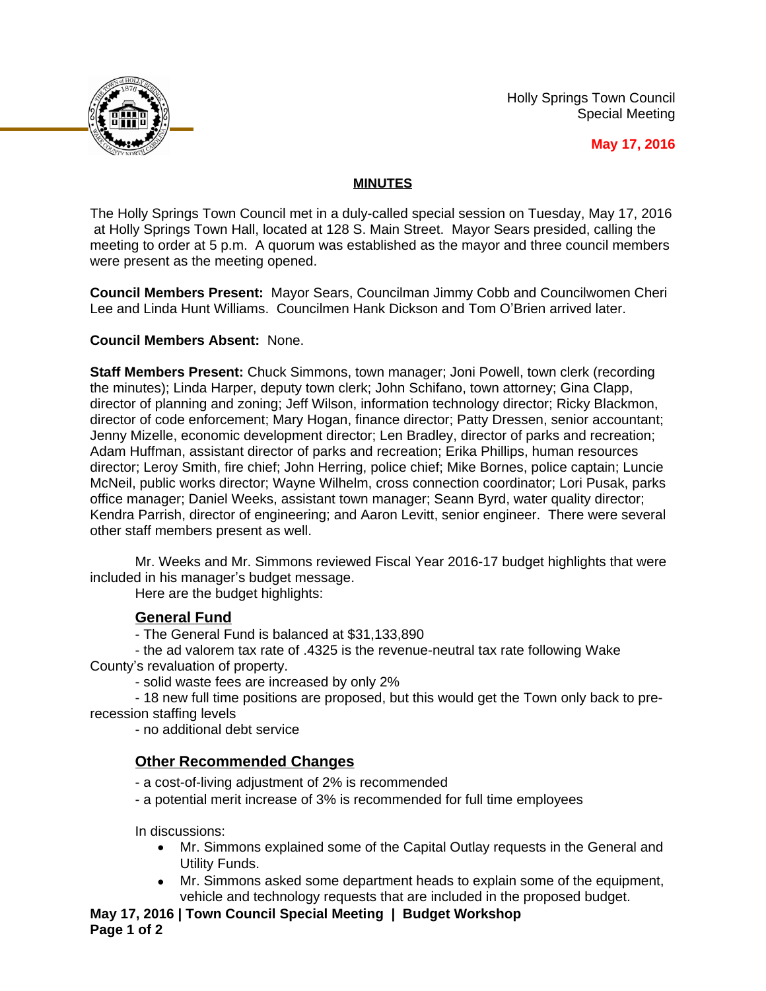Holly Springs Town Council Special Meeting



**May 17, 2016**

## **MINUTES**

The Holly Springs Town Council met in a duly-called special session on Tuesday, May 17, 2016 at Holly Springs Town Hall, located at 128 S. Main Street. Mayor Sears presided, calling the meeting to order at 5 p.m. A quorum was established as the mayor and three council members were present as the meeting opened.

**Council Members Present:** Mayor Sears, Councilman Jimmy Cobb and Councilwomen Cheri Lee and Linda Hunt Williams. Councilmen Hank Dickson and Tom O'Brien arrived later.

### **Council Members Absent:** None.

**Staff Members Present:** Chuck Simmons, town manager; Joni Powell, town clerk (recording the minutes); Linda Harper, deputy town clerk; John Schifano, town attorney; Gina Clapp, director of planning and zoning; Jeff Wilson, information technology director; Ricky Blackmon, director of code enforcement; Mary Hogan, finance director; Patty Dressen, senior accountant; Jenny Mizelle, economic development director; Len Bradley, director of parks and recreation; Adam Huffman, assistant director of parks and recreation; Erika Phillips, human resources director; Leroy Smith, fire chief; John Herring, police chief; Mike Bornes, police captain; Luncie McNeil, public works director; Wayne Wilhelm, cross connection coordinator; Lori Pusak, parks office manager; Daniel Weeks, assistant town manager; Seann Byrd, water quality director; Kendra Parrish, director of engineering; and Aaron Levitt, senior engineer. There were several other staff members present as well.

Mr. Weeks and Mr. Simmons reviewed Fiscal Year 2016-17 budget highlights that were included in his manager's budget message.

Here are the budget highlights:

### **General Fund**

- The General Fund is balanced at \$31,133,890

- the ad valorem tax rate of .4325 is the revenue-neutral tax rate following Wake County's revaluation of property.

- solid waste fees are increased by only 2%

- 18 new full time positions are proposed, but this would get the Town only back to prerecession staffing levels

- no additional debt service

# **Other Recommended Changes**

- a cost-of-living adjustment of 2% is recommended

- a potential merit increase of 3% is recommended for full time employees

In discussions:

- Mr. Simmons explained some of the Capital Outlay requests in the General and Utility Funds.
- Mr. Simmons asked some department heads to explain some of the equipment, vehicle and technology requests that are included in the proposed budget.

**May 17, 2016 | Town Council Special Meeting | Budget Workshop Page 1 of 2**